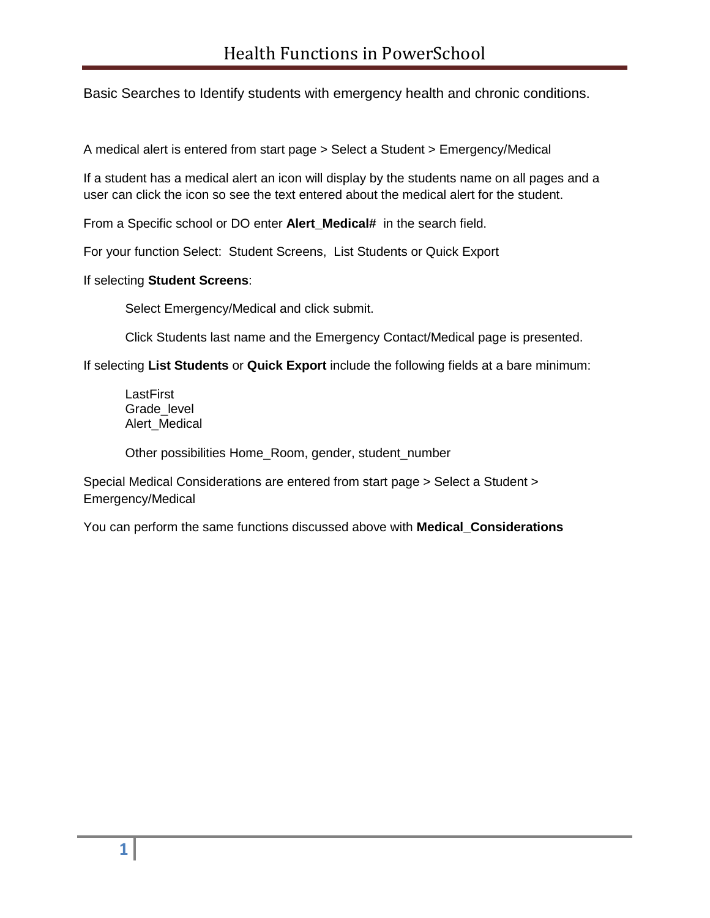Basic Searches to Identify students with emergency health and chronic conditions.

A medical alert is entered from start page > Select a Student > Emergency/Medical

If a student has a medical alert an icon will display by the students name on all pages and a user can click the icon so see the text entered about the medical alert for the student.

From a Specific school or DO enter **Alert\_Medical#** in the search field.

For your function Select: Student Screens, List Students or Quick Export

If selecting **Student Screens**:

Select Emergency/Medical and click submit.

Click Students last name and the Emergency Contact/Medical page is presented.

If selecting **List Students** or **Quick Export** include the following fields at a bare minimum:

LastFirst Grade\_level Alert\_Medical

Other possibilities Home\_Room, gender, student\_number

Special Medical Considerations are entered from start page > Select a Student > Emergency/Medical

You can perform the same functions discussed above with **Medical\_Considerations**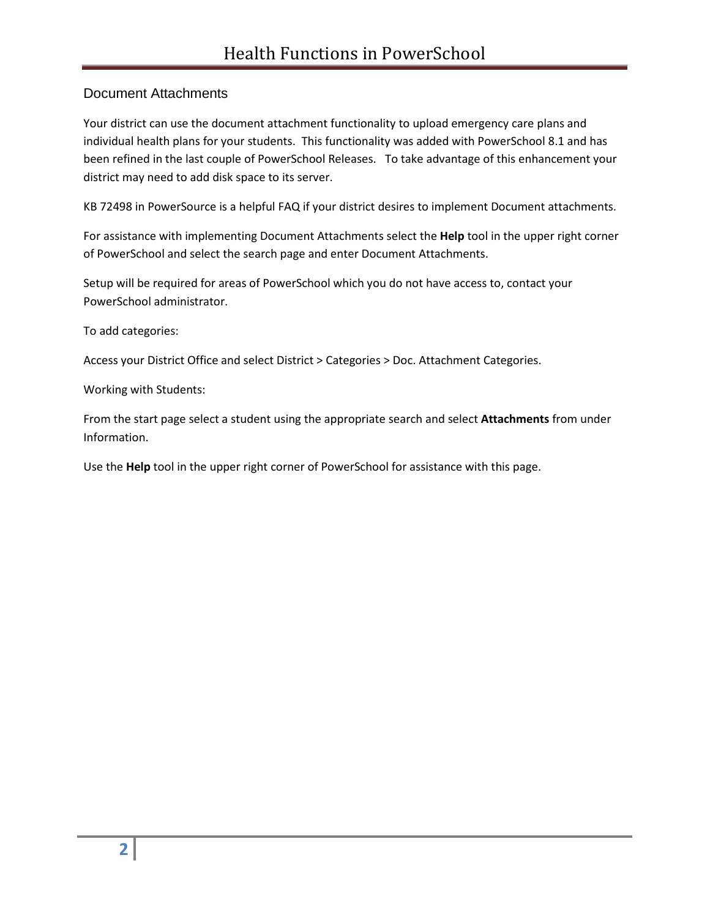# Document Attachments

Your district can use the document attachment functionality to upload emergency care plans and individual health plans for your students. This functionality was added with PowerSchool 8.1 and has been refined in the last couple of PowerSchool Releases. To take advantage of this enhancement your district may need to add disk space to its server.

KB 72498 in PowerSource is a helpful FAQ if your district desires to implement Document attachments.

For assistance with implementing Document Attachments select the **Help** tool in the upper right corner of PowerSchool and select the search page and enter Document Attachments.

Setup will be required for areas of PowerSchool which you do not have access to, contact your PowerSchool administrator.

To add categories:

Access your District Office and select District > Categories > Doc. Attachment Categories.

Working with Students:

From the start page select a student using the appropriate search and select **Attachments** from under Information.

Use the **Help** tool in the upper right corner of PowerSchool for assistance with this page.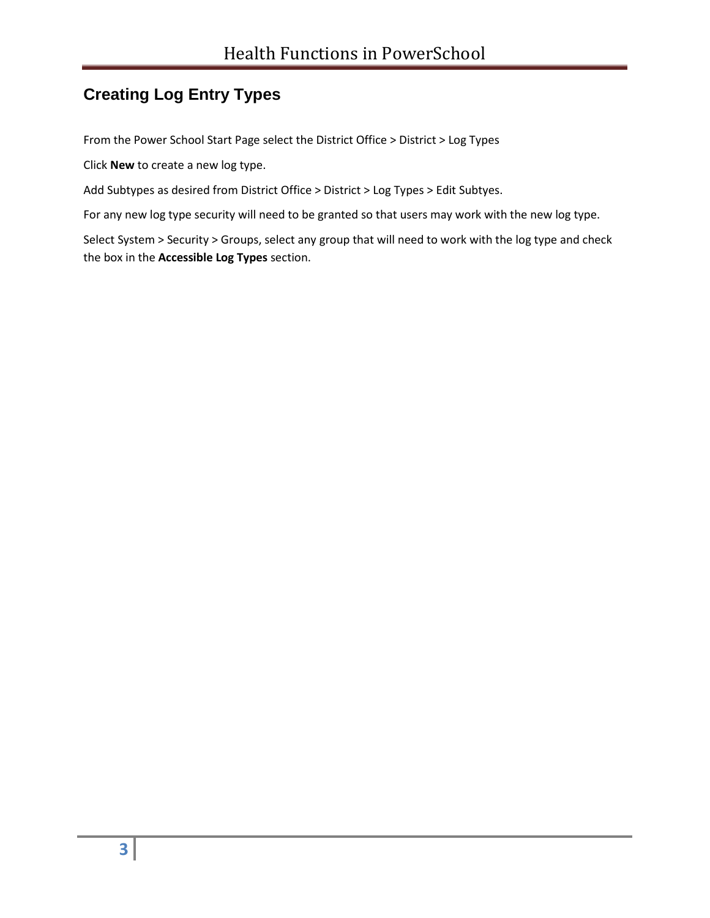# **Creating Log Entry Types**

From the Power School Start Page select the District Office > District > Log Types

Click **New** to create a new log type.

Add Subtypes as desired from District Office > District > Log Types > Edit Subtyes.

For any new log type security will need to be granted so that users may work with the new log type.

Select System > Security > Groups, select any group that will need to work with the log type and check the box in the **Accessible Log Types** section.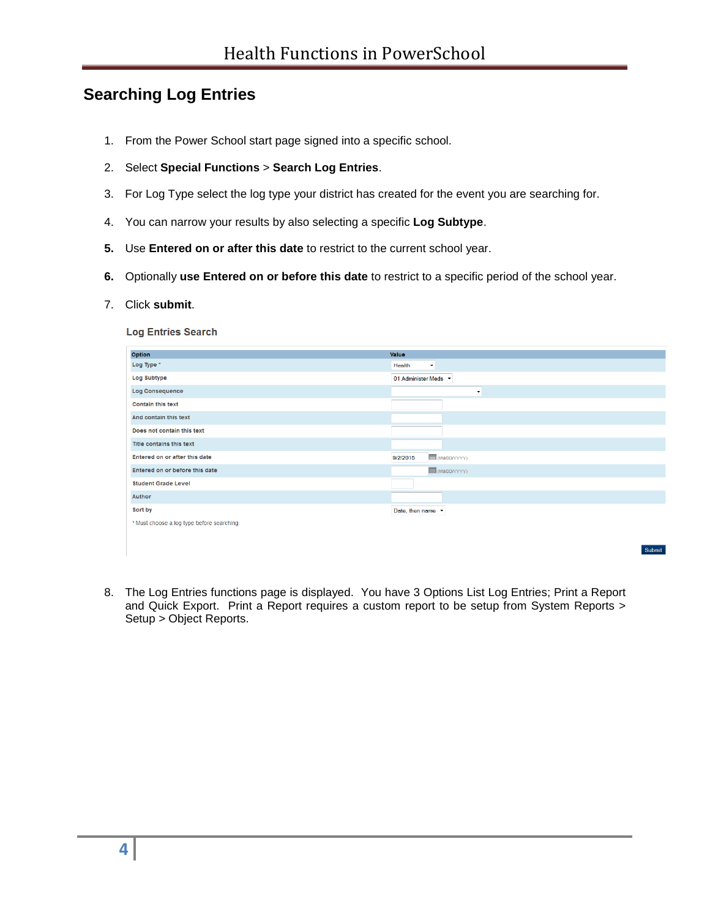# **Searching Log Entries**

- 1. From the Power School start page signed into a specific school.
- 2. Select **Special Functions** > **Search Log Entries**.
- 3. For Log Type select the log type your district has created for the event you are searching for.
- 4. You can narrow your results by also selecting a specific **Log Subtype**.
- **5.** Use **Entered on or after this date** to restrict to the current school year.
- **6.** Optionally **use Entered on or before this date** to restrict to a specific period of the school year.

#### 7. Click **submit**.

**Log Entries Search** 

| Option                                    | Value                               |
|-------------------------------------------|-------------------------------------|
| Log Type *                                | Health<br>$\blacktriangledown$      |
| Log Subtype                               | 01 Administer Meds v                |
| <b>Log Consequence</b>                    | $\overline{\phantom{a}}$            |
| <b>Contain this text</b>                  |                                     |
| And contain this text                     |                                     |
| Does not contain this text                |                                     |
| Title contains this text                  |                                     |
| Entered on or after this date             | <b>EEE</b> (MM/DD/YYYY)<br>9/2/2015 |
| Entered on or before this date            | <b>MM/DDAYYYY)</b>                  |
| <b>Student Grade Level</b>                |                                     |
| Author                                    |                                     |
| Sort by                                   | Date, then name v                   |
| * Must choose a log type before searching |                                     |
|                                           |                                     |
|                                           |                                     |

8. The Log Entries functions page is displayed. You have 3 Options List Log Entries; Print a Report and Quick Export. Print a Report requires a custom report to be setup from System Reports > Setup > Object Reports.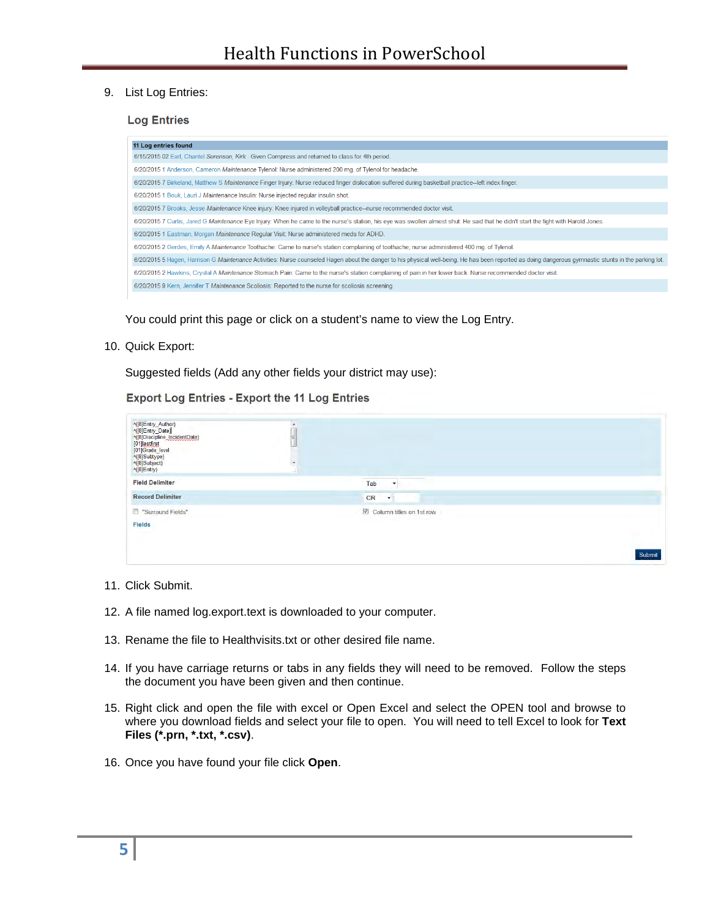## 9. List Log Entries:

### **Log Entries**

| 11 Log entries found                                                                                                                                                                                  |
|-------------------------------------------------------------------------------------------------------------------------------------------------------------------------------------------------------|
| 6/15/2015 02 Earl, Chantel Sorenson, Kirk : Given Compress and returned to class for 4th period.                                                                                                      |
| 6/20/2015 1 Anderson, Cameron Maintenance Tylenol: Nurse administered 200 mg. of Tylenol for headache.                                                                                                |
| 6/20/2015 7 Birkeland, Matthew S Maintenance Finger Injury: Nurse reduced finger dislocation suffered during basketball practice--left index finger.                                                  |
| 6/20/2015 1 Bouk, Lauri J Maintenance Insulin: Nurse injected regular insulin shot.                                                                                                                   |
| 6/20/2015 7 Brooks, Jesse Maintenance Knee injury: Knee injured in volleyball practice--nurse recommended doctor visit.                                                                               |
| 6/20/2015 7 Curtis, Jared G Maintenance Eye Injury: When he came to the nurse's station, his eye was swollen almost shut. He said that he didn't start the fight with Harold Jones.                   |
| 6/20/2015 1 Eastman, Morgan Maintenance Regular Visit: Nurse administered meds for ADHD.                                                                                                              |
| 6/20/2015 2 Gerdes, Emily A Maintenance Toothache: Came to nurse's station complaining of toothache; nurse administered 400 mg, of Tylenol.                                                           |
| 6/20/2015 5 Hagen, Harrison G Maintenance Activities: Nurse counseled Hagen about the danger to his physical well-being. He has been reported as doing dangerous gymnastic stunts in the parking lot. |
| 6/20/2015 2 Hawkins, Crystal A Maintenance Stomach Pain: Came to the nurse's station complaining of pain in her lower back. Nurse recommended doctor visit.                                           |
| 6/20/2015 9 Kern, Jennifer T Maintenance Scoliosis: Reported to the nurse for scoliosis screening                                                                                                     |
|                                                                                                                                                                                                       |

You could print this page or click on a student's name to view the Log Entry.

10. Quick Export:

Suggested fields (Add any other fields your district may use):

#### **Export Log Entries - Export the 11 Log Entries**

| ^([8]Entry_Author)<br>^([8]Entry_Date)<br><sup>4</sup> ([8]Discipline_IncidentDate)<br>[01]lastfirst<br>[01]Grade_level<br>^([8]Subtype)<br>^([8]Subject)<br>^([8]Entry) | Ε<br>$\ddot{}$                        |        |
|--------------------------------------------------------------------------------------------------------------------------------------------------------------------------|---------------------------------------|--------|
| <b>Field Delimiter</b>                                                                                                                                                   | Tab<br>۰.                             |        |
| <b>Record Delimiter</b>                                                                                                                                                  | <b>CR</b><br>$\overline{\phantom{a}}$ |        |
| <sup>"</sup> Surround Fields"                                                                                                                                            | Column titles on 1st row              |        |
| Fields                                                                                                                                                                   |                                       |        |
|                                                                                                                                                                          |                                       |        |
|                                                                                                                                                                          |                                       | Submit |

- 11. Click Submit.
- 12. A file named log.export.text is downloaded to your computer.
- 13. Rename the file to Healthvisits.txt or other desired file name.
- 14. If you have carriage returns or tabs in any fields they will need to be removed. Follow the steps the document you have been given and then continue.
- 15. Right click and open the file with excel or Open Excel and select the OPEN tool and browse to where you download fields and select your file to open. You will need to tell Excel to look for **Text Files (\*.prn, \*.txt, \*.csv)**.
- 16. Once you have found your file click **Open**.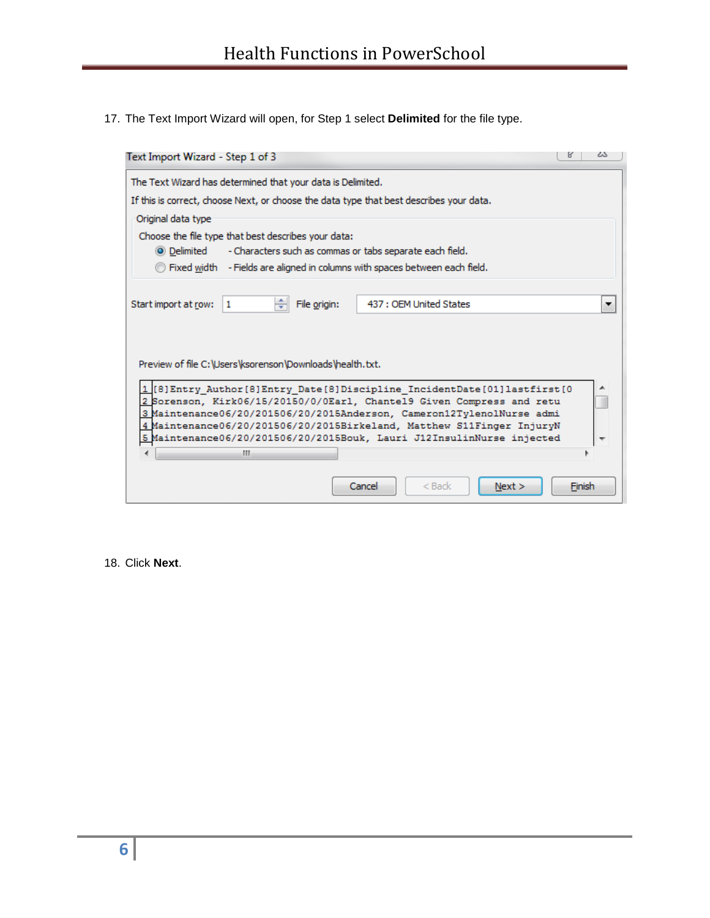17. The Text Import Wizard will open, for Step 1 select **Delimited** for the file type.

| Text Import Wizard - Step 1 of 3                                                                                                                  |        | ఒ |
|---------------------------------------------------------------------------------------------------------------------------------------------------|--------|---|
| The Text Wizard has determined that your data is Delimited.                                                                                       |        |   |
| If this is correct, choose Next, or choose the data type that best describes your data.                                                           |        |   |
| Original data type                                                                                                                                |        |   |
| Choose the file type that best describes your data:                                                                                               |        |   |
| • Delimited - Characters such as commas or tabs separate each field.                                                                              |        |   |
| Tixed width - Fields are aligned in columns with spaces between each field.                                                                       |        |   |
|                                                                                                                                                   |        |   |
| ÷<br>437 : OEM United States<br>Start import at row:<br>File origin:<br>1                                                                         |        | ▼ |
|                                                                                                                                                   |        |   |
|                                                                                                                                                   |        |   |
| Preview of file C:\Users\ksorenson\Downloads\health.txt.                                                                                          |        |   |
|                                                                                                                                                   |        |   |
| 1][8]Entry Author[8]Entry Date[8]Discipline IncidentDate[01]lastfirst[0]<br>2 Sorenson, Kirk06/15/20150/0/0Earl, Chantel9 Given Compress and retu |        |   |
| 3 Maintenance06/20/201506/20/2015Anderson, Cameron12TylenolNurse admi                                                                             |        |   |
| 4 Maintenance06/20/201506/20/2015Birkeland, Matthew S11Finger InjuryN                                                                             |        |   |
| 5 Maintenance06/20/201506/20/2015Bouk, Lauri J12InsulinNurse injected<br>m                                                                        |        |   |
|                                                                                                                                                   |        |   |
| Cancel<br>$<$ Back<br>Next                                                                                                                        | Finish |   |
|                                                                                                                                                   |        |   |

18. Click **Next**.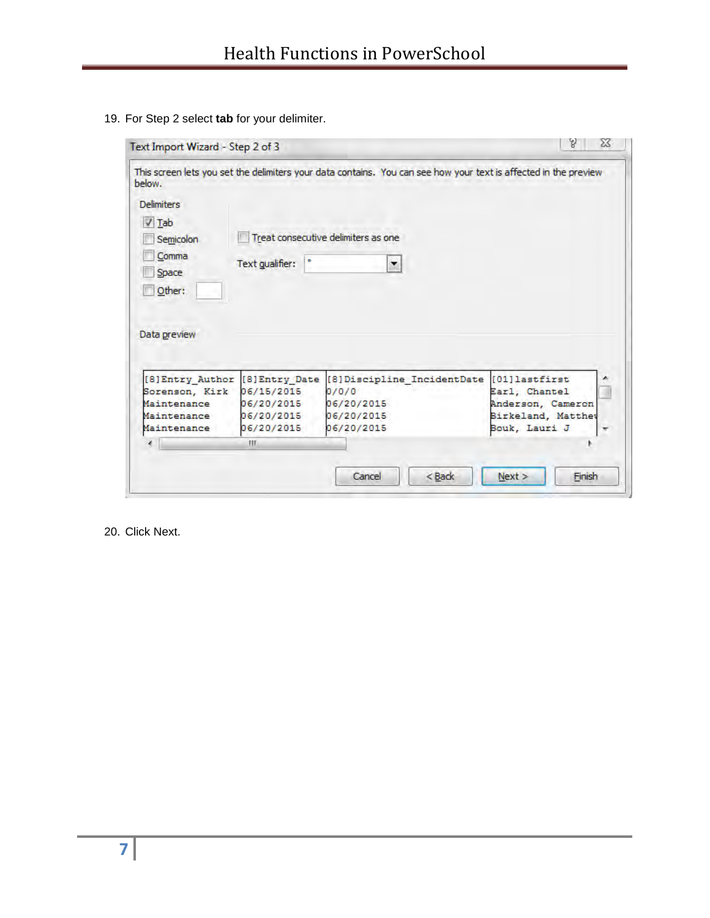19. For Step 2 select **tab** for your delimiter.

| below.                                                                                          |                                                                        | This screen lets you set the delimiters your data contains. You can see how your text is affected in the preview |                                                                                            |  |
|-------------------------------------------------------------------------------------------------|------------------------------------------------------------------------|------------------------------------------------------------------------------------------------------------------|--------------------------------------------------------------------------------------------|--|
| <b>Delimiters</b><br>√ Tab<br>Semicolon<br>Comma<br>Space                                       | Text gualifier:                                                        | Treat consecutive delimiters as one<br>$\blacktriangledown$                                                      |                                                                                            |  |
| Other:                                                                                          |                                                                        |                                                                                                                  |                                                                                            |  |
| Data preview<br>[8] Entry Author<br>Sorenson, Kirk<br>Maintenance<br>Maintenance<br>Maintenance | [8] Entry Date<br>06/15/2015<br>06/20/2015<br>06/20/2015<br>06/20/2015 | [8] Discipline IncidentDate<br>0/0/0<br>06/20/2015<br>06/20/2015<br>06/20/2015                                   | [01]lastfirst<br>Earl, Chantel<br>Anderson, Cameron<br>Birkeland, Matthew<br>Bouk, Lauri J |  |

20. Click Next.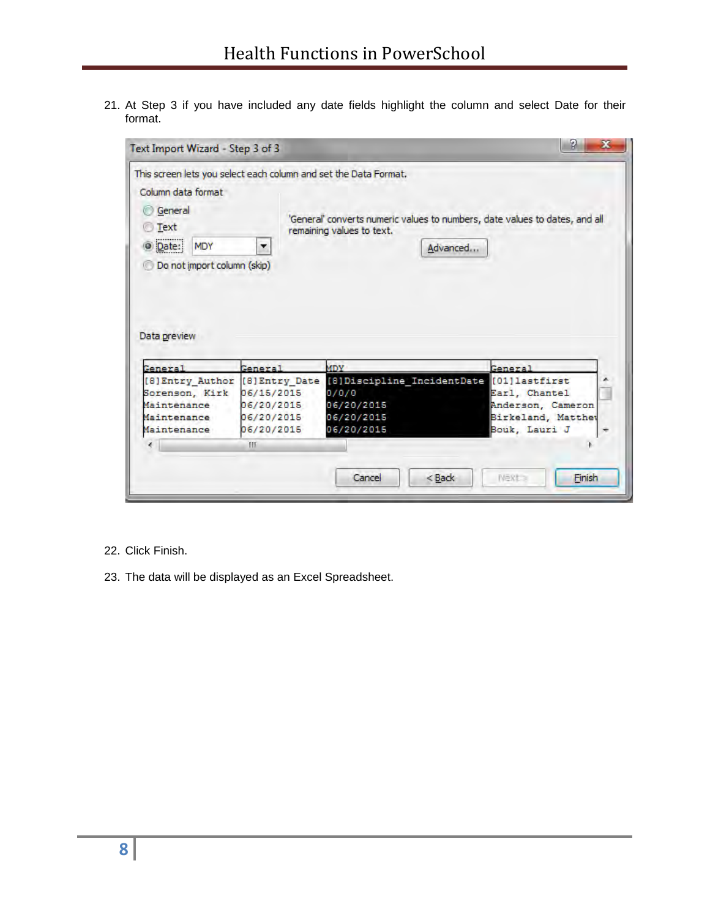21. At Step 3 if you have included any date fields highlight the column and select Date for their format.

| This screen lets you select each column and set the Data Format.<br>Column data format<br>General<br>Text<br>O Date:<br><b>MDY</b><br>Do not import column (skip) | ▼                     | remaining values to text.<br>Advanced                  | 'General' converts numeric values to numbers, date values to dates, and all |
|-------------------------------------------------------------------------------------------------------------------------------------------------------------------|-----------------------|--------------------------------------------------------|-----------------------------------------------------------------------------|
|                                                                                                                                                                   |                       |                                                        |                                                                             |
|                                                                                                                                                                   |                       |                                                        |                                                                             |
|                                                                                                                                                                   |                       |                                                        |                                                                             |
|                                                                                                                                                                   |                       |                                                        |                                                                             |
|                                                                                                                                                                   |                       |                                                        |                                                                             |
|                                                                                                                                                                   |                       |                                                        |                                                                             |
|                                                                                                                                                                   |                       |                                                        |                                                                             |
|                                                                                                                                                                   |                       |                                                        |                                                                             |
| [8] Entry Author                                                                                                                                                  | [8] Entry Date        |                                                        | [01] lastfirst                                                              |
| Sorenson, Kirk                                                                                                                                                    | 06/15/2015            | 0/0/0                                                  | Earl, Chantel                                                               |
| Maintenance                                                                                                                                                       |                       |                                                        |                                                                             |
| Maintenance                                                                                                                                                       | 06/20/2015            | 06/20/2015                                             | Birkeland, Matthew                                                          |
| Maintenance                                                                                                                                                       | 06/20/2015            | 06/20/2015                                             | Bouk, Lauri J                                                               |
|                                                                                                                                                                   | m                     |                                                        |                                                                             |
| General                                                                                                                                                           | General<br>06/20/2015 | <b>MDY</b><br>[8]Discipline_IncidentDate<br>06/20/2015 | General<br>Anderson, Cameron                                                |

- 22. Click Finish.
- 23. The data will be displayed as an Excel Spreadsheet.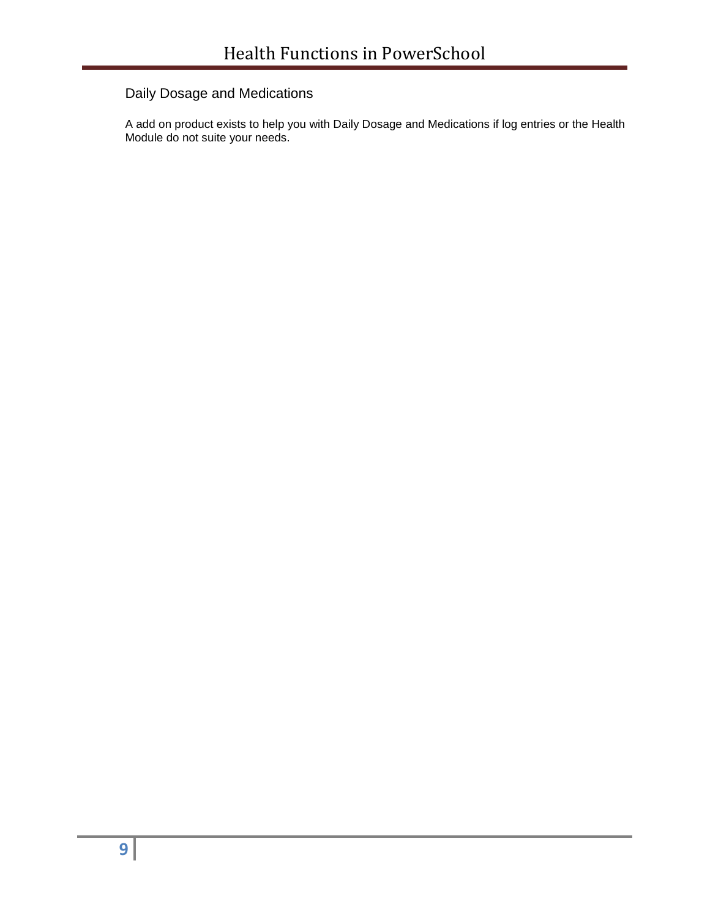# Daily Dosage and Medications

A add on product exists to help you with Daily Dosage and Medications if log entries or the Health Module do not suite your needs.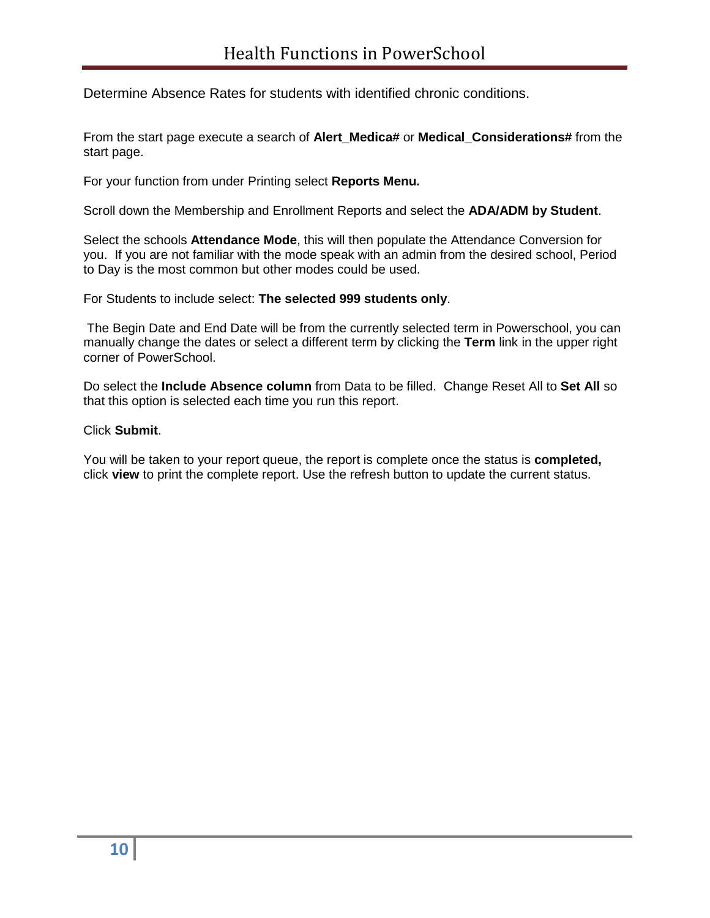Determine Absence Rates for students with identified chronic conditions.

From the start page execute a search of **Alert\_Medica#** or **Medical\_Considerations#** from the start page.

For your function from under Printing select **Reports Menu.**

Scroll down the Membership and Enrollment Reports and select the **ADA/ADM by Student**.

Select the schools **Attendance Mode**, this will then populate the Attendance Conversion for you. If you are not familiar with the mode speak with an admin from the desired school, Period to Day is the most common but other modes could be used.

For Students to include select: **The selected 999 students only**.

The Begin Date and End Date will be from the currently selected term in Powerschool, you can manually change the dates or select a different term by clicking the **Term** link in the upper right corner of PowerSchool.

Do select the **Include Absence column** from Data to be filled. Change Reset All to **Set All** so that this option is selected each time you run this report.

### Click **Submit**.

You will be taken to your report queue, the report is complete once the status is **completed,**  click **view** to print the complete report. Use the refresh button to update the current status.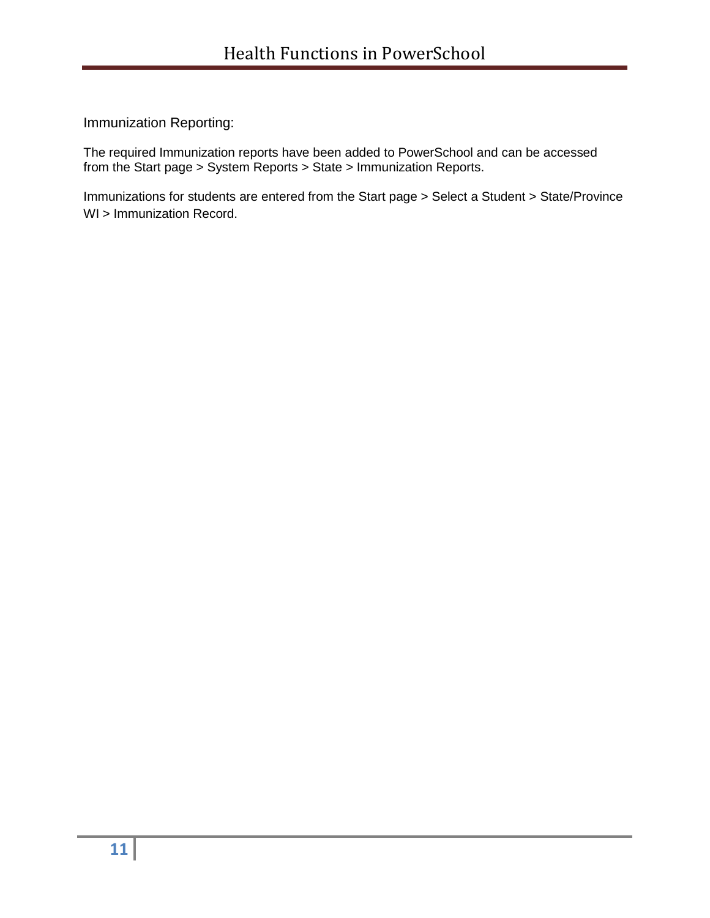Immunization Reporting:

The required Immunization reports have been added to PowerSchool and can be accessed from the Start page > System Reports > State > Immunization Reports.

Immunizations for students are entered from the Start page > Select a Student > State/Province WI > Immunization Record.